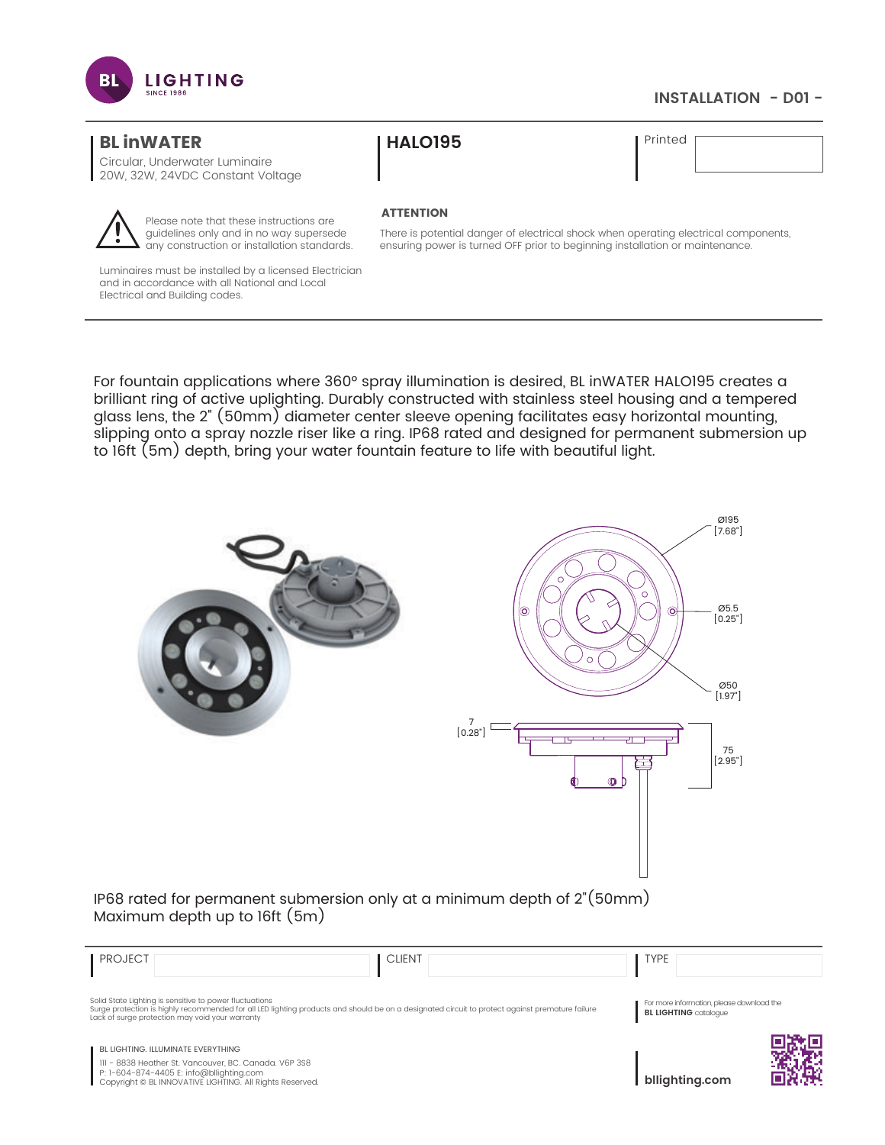

## **INSTALLATION - D01 -**

# **BL inWATER**

Circular, Underwater Luminaire 20W, 32W, 24VDC Constant Voltage



Please note that these instructions are guidelines only and in no way supersede any construction or installation standards.

Luminaires must be installed by a licensed Electrician and in accordance with all National and Local Electrical and Building codes.

# **HALO195**

Printed

#### **ATTENTION**

There is potential danger of electrical shock when operating electrical components, ensuring power is turned OFF prior to beginning installation or maintenance.

For fountain applications where 360° spray illumination is desired, BL inWATER HALO195 creates a brilliant ring of active uplighting. Durably constructed with stainless steel housing and a tempered glass lens, the 2" (50mm) diameter center sleeve opening facilitates easy horizontal mounting, slipping onto a spray nozzle riser like a ring. IP68 rated and designed for permanent submersion up to 16ft (5m) depth, bring your water fountain feature to life with beautiful light.



Maximum depth up to 16ft (5m)

| <b>PROJECT</b>                                                                                                                                                                                                                                                | <b>CLIENT</b> | <b>TYPE</b>                                                               |
|---------------------------------------------------------------------------------------------------------------------------------------------------------------------------------------------------------------------------------------------------------------|---------------|---------------------------------------------------------------------------|
| Solid State Lighting is sensitive to power fluctuations<br>Surge protection is highly recommended for all LED lighting products and should be on a designated circuit to protect against premature failure<br>Lack of surge protection may void your warranty |               | For more information, please download the<br><b>BL LIGHTING</b> catalogue |
| BL LIGHTING. ILLUMINATE EVERYTHING                                                                                                                                                                                                                            |               |                                                                           |
| III - 8838 Heather St. Vancouver, BC. Canada. V6P 3S8<br>P: 1-604-874-4405 E: info@bllighting.com<br>Copyright © BL INNOVATIVE LIGHTING. All Rights Reserved.                                                                                                 |               | bllighting.com                                                            |

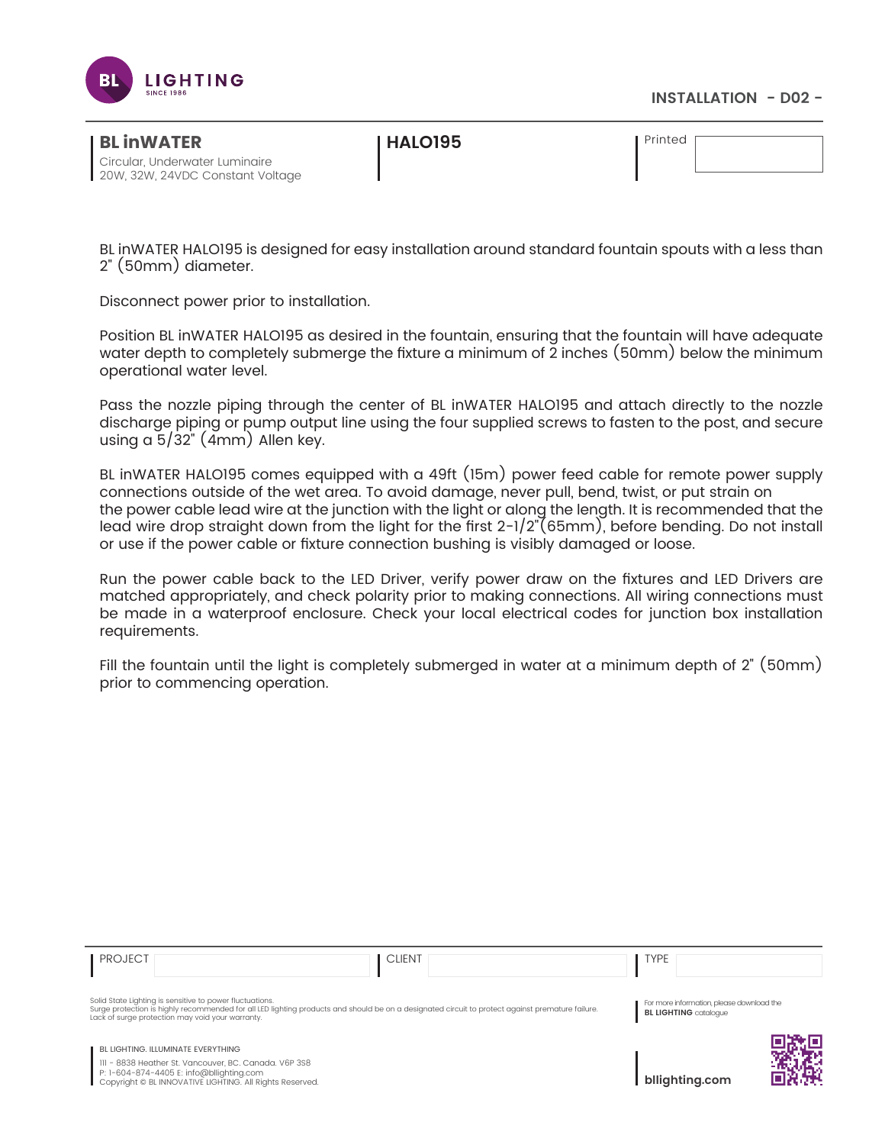

### **INSTALLATION - D02 -**

| <b>BLINWATER</b>                 |  |
|----------------------------------|--|
| Circular. Underwater Luminaire   |  |
| 20W, 32W, 24VDC Constant Voltage |  |

**HALO195**

Printed

BL inWATER HALO195 is designed for easy installation around standard fountain spouts with a less than 2" (50mm) diameter.

Disconnect power prior to installation.

Position BL inWATER HALO195 as desired in the fountain, ensuring that the fountain will have adequate water depth to completely submerge the fixture a minimum of 2 inches (50mm) below the minimum operational water level.

Pass the nozzle piping through the center of BL inWATER HALO195 and attach directly to the nozzle discharge piping or pump output line using the four supplied screws to fasten to the post, and secure using a 5/32" (4mm) Allen key.

BL inWATER HALO195 comes equipped with a 49ft (15m) power feed cable for remote power supply connections outside of the wet area. To avoid damage, never pull, bend, twist, or put strain on the power cable lead wire at the junction with the light or along the length. It is recommended that the lead wire drop straight down from the light for the first 2-1/2"(65mm), before bending. Do not install or use if the power cable or fixture connection bushing is visibly damaged or loose.

Run the power cable back to the LED Driver, verify power draw on the fixtures and LED Drivers are matched appropriately, and check polarity prior to making connections. All wiring connections must be made in a waterproof enclosure. Check your local electrical codes for junction box installation requirements.

Fill the fountain until the light is completely submerged in water at a minimum depth of 2" (50mm) prior to commencing operation.

| <b>PROJECT</b>                                                                                                                                                                                             | <b>CLIENT</b>                                                                                                                                    | TYPE                                                                      |
|------------------------------------------------------------------------------------------------------------------------------------------------------------------------------------------------------------|--------------------------------------------------------------------------------------------------------------------------------------------------|---------------------------------------------------------------------------|
| Solid State Lighting is sensitive to power fluctuations.<br>Lack of surge protection may void your warranty.                                                                                               | Surge protection is highly recommended for all LED lighting products and should be on a designated circuit to protect against premature failure. | For more information, please download the<br><b>BL LIGHTING</b> catalogue |
| <b>BL LIGHTING. ILLUMINATE EVERYTHING</b><br>III - 8838 Heather St. Vancouver, BC. Canada. V6P 3S8<br>P: 1-604-874-4405 E: info@bllighting.com<br>Copyright © BL INNOVATIVE LIGHTING. All Rights Reserved. |                                                                                                                                                  | bllighting.com                                                            |